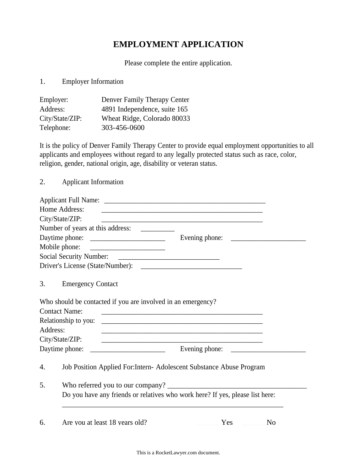## **EMPLOYMENT APPLICATION**

Please complete the entire application.

1. Employer Information

| Employer:       | Denver Family Therapy Center |
|-----------------|------------------------------|
| Address:        | 4891 Independence, suite 165 |
| City/State/ZIP: | Wheat Ridge, Colorado 80033  |
| Telephone:      | 303-456-0600                 |

It is the policy of Denver Family Therapy Center to provide equal employment opportunities to all applicants and employees without regard to any legally protected status such as race, color, religion, gender, national origin, age, disability or veteran status.

2. Applicant Information

|                                                                                     | Home Address:            | <u> 1989 - Andrea Station, amerikansk politiker (d. 1989)</u>                                                         |  |     |                |  |
|-------------------------------------------------------------------------------------|--------------------------|-----------------------------------------------------------------------------------------------------------------------|--|-----|----------------|--|
|                                                                                     | City/State/ZIP:          | <u> 1989 - Johann Stoff, amerikansk politiker (d. 1989)</u>                                                           |  |     |                |  |
|                                                                                     |                          |                                                                                                                       |  |     |                |  |
|                                                                                     |                          | Daytime phone:                                                                                                        |  |     |                |  |
|                                                                                     |                          |                                                                                                                       |  |     |                |  |
|                                                                                     |                          |                                                                                                                       |  |     |                |  |
|                                                                                     |                          |                                                                                                                       |  |     |                |  |
| 3.                                                                                  | <b>Emergency Contact</b> |                                                                                                                       |  |     |                |  |
|                                                                                     |                          | Who should be contacted if you are involved in an emergency?                                                          |  |     |                |  |
|                                                                                     | <b>Contact Name:</b>     |                                                                                                                       |  |     |                |  |
|                                                                                     | Relationship to you:     |                                                                                                                       |  |     |                |  |
| Address:                                                                            |                          |                                                                                                                       |  |     |                |  |
|                                                                                     | City/State/ZIP:          | <u> 1989 - Johann Stoff, deutscher Stoff, der Stoff, der Stoff, der Stoff, der Stoff, der Stoff, der Stoff, der S</u> |  |     |                |  |
|                                                                                     |                          |                                                                                                                       |  |     |                |  |
| 4.                                                                                  |                          | Job Position Applied For: Intern- Adolescent Substance Abuse Program                                                  |  |     |                |  |
| 5.<br>Do you have any friends or relatives who work here? If yes, please list here: |                          |                                                                                                                       |  |     |                |  |
|                                                                                     |                          |                                                                                                                       |  |     |                |  |
| 6.                                                                                  |                          | Are you at least 18 years old?                                                                                        |  | Yes | N <sub>o</sub> |  |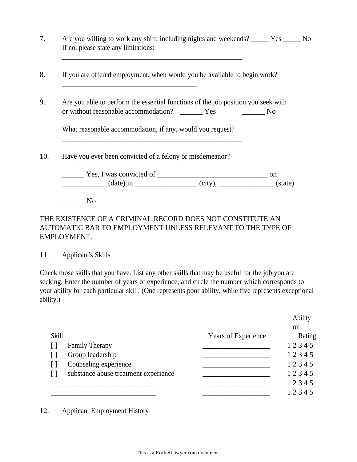| Are you willing to work any shift, including nights and weekends? ______ Yes _____ No<br>If no, please state any limitations: |           |    |
|-------------------------------------------------------------------------------------------------------------------------------|-----------|----|
| If you are offered employment, when would you be available to begin work?                                                     |           |    |
|                                                                                                                               |           |    |
| Are you able to perform the essential functions of the job position you seek with                                             |           |    |
|                                                                                                                               | <u>No</u> |    |
| What reasonable accommodation, if any, would you request?                                                                     |           |    |
| Have you ever been convicted of a felony or misdemean or?                                                                     |           |    |
|                                                                                                                               |           | on |
|                                                                                                                               |           |    |

## THE EXISTENCE OF A CRIMINAL RECORD DOES NOT CONSTITUTE AN AUTOMATIC BAR TO EMPLOYMENT UNLESS RELEVANT TO THE TYPE OF EMPLOYMENT.

## 11. Applicant's Skills

Check those skills that you have. List any other skills that may be useful for the job you are seeking. Enter the number of years of experience, and circle the number which corresponds to your ability for each particular skill. (One represents poor ability, while five represents exceptional ability.)

|              |                                      |                     | Ability   |
|--------------|--------------------------------------|---------------------|-----------|
|              |                                      |                     | <b>or</b> |
| <b>Skill</b> |                                      | Years of Experience | Rating    |
|              | <b>Family Therapy</b>                |                     | 12345     |
|              | Group leadership                     |                     | 12345     |
|              | Counseling experience                |                     | 12345     |
| ן ו          | substance abuse treatment experience |                     | 12345     |
|              |                                      |                     | 12345     |
|              |                                      |                     | 12345     |

12. Applicant Employment History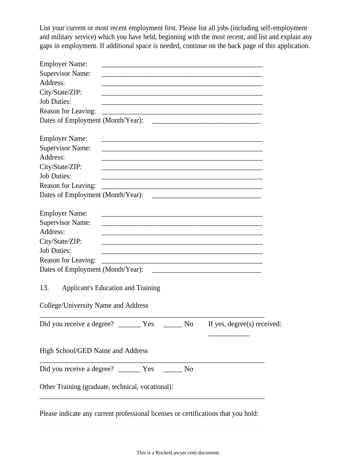List your current or most recent employment first. Please list all jobs (including self-employment and military service) which you have held, beginning with the most recent, and list and explain any gaps in employment. If additional space is needed, continue on the back page of this application.

| <b>Employer Name:</b>                      |                                                                                                                        |                                                                |  |
|--------------------------------------------|------------------------------------------------------------------------------------------------------------------------|----------------------------------------------------------------|--|
| <b>Supervisor Name:</b>                    |                                                                                                                        |                                                                |  |
| Address:                                   |                                                                                                                        |                                                                |  |
| City/State/ZIP:                            |                                                                                                                        |                                                                |  |
| <b>Job Duties:</b>                         | <u> 1980 - Johann Stoff, amerikansk politiker (d. 1980)</u>                                                            |                                                                |  |
| Reason for Leaving:                        |                                                                                                                        |                                                                |  |
|                                            |                                                                                                                        |                                                                |  |
| <b>Employer Name:</b>                      | <u> 1980 - Johann Barbara, martxa alemaniar argumento este alemaniar alemaniar alemaniar alemaniar alemaniar al</u>    |                                                                |  |
| <b>Supervisor Name:</b>                    |                                                                                                                        |                                                                |  |
| Address:                                   |                                                                                                                        |                                                                |  |
| City/State/ZIP:                            | <u> 1980 - Johann John Stone, markin film yn y brening yn y brening yn y brening yn y brening yn y brening y bre</u>   |                                                                |  |
| <b>Job Duties:</b>                         | the control of the control of the control of the control of the control of the control of                              |                                                                |  |
| Reason for Leaving:                        |                                                                                                                        |                                                                |  |
|                                            |                                                                                                                        |                                                                |  |
| <b>Employer Name:</b>                      |                                                                                                                        |                                                                |  |
| <b>Supervisor Name:</b>                    |                                                                                                                        |                                                                |  |
| Address:                                   |                                                                                                                        |                                                                |  |
| City/State/ZIP:                            | <u> 1980 - Johann John Stoff, deutscher Stoffen und der Stoffen und der Stoffen und der Stoffen und der Stoffen un</u> |                                                                |  |
| <b>Job Duties:</b>                         | <u> 1989 - Johann John Stone, markin film yn y brenin y brenin y brenin y brenin y brenin y brenin y brenin y br</u>   |                                                                |  |
| Reason for Leaving:                        | <u> 2000 - Jan James James Jan James James James James James James James James James James James James James Jam</u>   |                                                                |  |
| Dates of Employment (Month/Year):          |                                                                                                                        | <u> 2000 - Januari Amerikaanse konstantinoplerin (h. 1878)</u> |  |
| 13.<br>College/University Name and Address | <b>Applicant's Education and Training</b>                                                                              |                                                                |  |
|                                            |                                                                                                                        |                                                                |  |
|                                            |                                                                                                                        |                                                                |  |
| High School/GED Name and Address           |                                                                                                                        |                                                                |  |
|                                            |                                                                                                                        |                                                                |  |
|                                            | Other Training (graduate, technical, vocational):                                                                      |                                                                |  |
|                                            |                                                                                                                        |                                                                |  |

Please indicate any current professional licenses or certifications that you hold: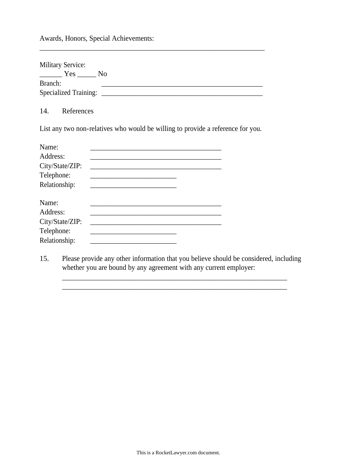Awards, Honors, Special Achievements:

| <b>Military Service:</b><br>Yes | - No |
|---------------------------------|------|
| Branch:                         |      |
| <b>Specialized Training:</b>    |      |

\_\_\_\_\_\_\_\_\_\_\_\_\_\_\_\_\_\_\_\_\_\_\_\_\_\_\_\_\_\_\_\_\_\_\_\_\_\_\_\_\_\_\_\_\_\_\_\_\_\_\_\_\_\_\_\_\_\_\_\_

14. References

List any two non-relatives who would be willing to provide a reference for you.

| Name:           |  |  |
|-----------------|--|--|
| Address:        |  |  |
| City/State/ZIP: |  |  |
| Telephone:      |  |  |
| Relationship:   |  |  |
| Name:           |  |  |
| Address:        |  |  |
| City/State/ZIP: |  |  |
| Telephone:      |  |  |
| Relationship:   |  |  |

15. Please provide any other information that you believe should be considered, including whether you are bound by any agreement with any current employer:

\_\_\_\_\_\_\_\_\_\_\_\_\_\_\_\_\_\_\_\_\_\_\_\_\_\_\_\_\_\_\_\_\_\_\_\_\_\_\_\_\_\_\_\_\_\_\_\_\_\_\_\_\_\_\_\_\_\_\_\_ \_\_\_\_\_\_\_\_\_\_\_\_\_\_\_\_\_\_\_\_\_\_\_\_\_\_\_\_\_\_\_\_\_\_\_\_\_\_\_\_\_\_\_\_\_\_\_\_\_\_\_\_\_\_\_\_\_\_\_\_